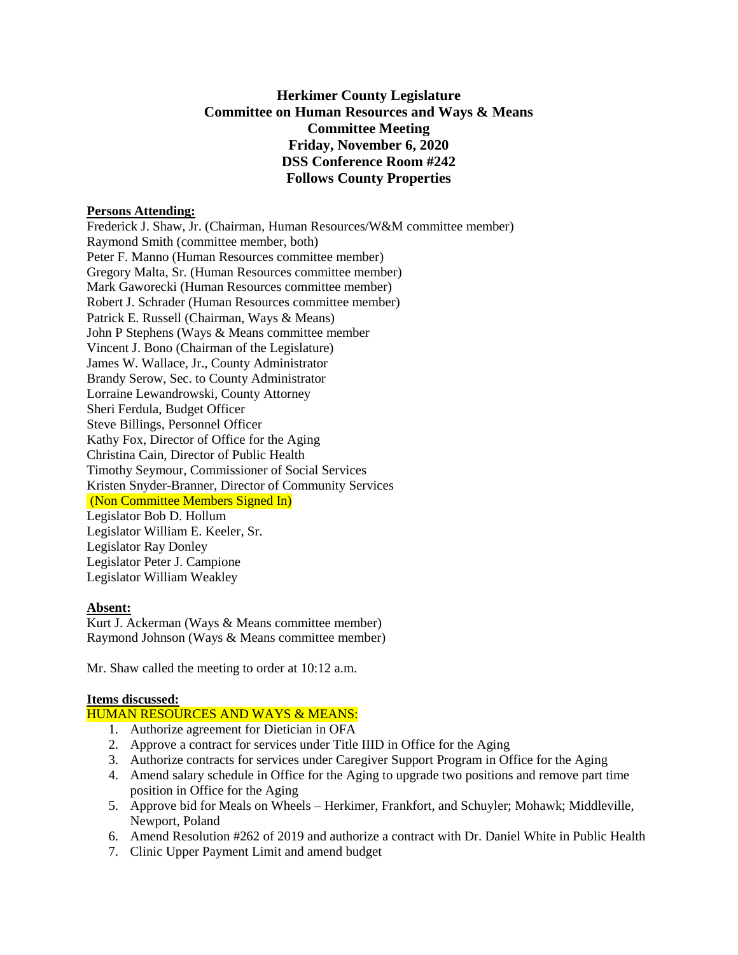# **Herkimer County Legislature Committee on Human Resources and Ways & Means Committee Meeting Friday, November 6, 2020 DSS Conference Room #242 Follows County Properties**

## **Persons Attending:**

Frederick J. Shaw, Jr. (Chairman, Human Resources/W&M committee member) Raymond Smith (committee member, both) Peter F. Manno (Human Resources committee member) Gregory Malta, Sr. (Human Resources committee member) Mark Gaworecki (Human Resources committee member) Robert J. Schrader (Human Resources committee member) Patrick E. Russell (Chairman, Ways & Means) John P Stephens (Ways & Means committee member Vincent J. Bono (Chairman of the Legislature) James W. Wallace, Jr., County Administrator Brandy Serow, Sec. to County Administrator Lorraine Lewandrowski, County Attorney Sheri Ferdula, Budget Officer Steve Billings, Personnel Officer Kathy Fox, Director of Office for the Aging Christina Cain, Director of Public Health Timothy Seymour, Commissioner of Social Services Kristen Snyder-Branner, Director of Community Services (Non Committee Members Signed In) Legislator Bob D. Hollum Legislator William E. Keeler, Sr. Legislator Ray Donley Legislator Peter J. Campione Legislator William Weakley

#### **Absent:**

Kurt J. Ackerman (Ways & Means committee member) Raymond Johnson (Ways & Means committee member)

Mr. Shaw called the meeting to order at 10:12 a.m.

#### **Items discussed:**

#### HUMAN RESOURCES AND WAYS & MEANS:

- 1. Authorize agreement for Dietician in OFA
- 2. Approve a contract for services under Title IIID in Office for the Aging
- 3. Authorize contracts for services under Caregiver Support Program in Office for the Aging
- 4. Amend salary schedule in Office for the Aging to upgrade two positions and remove part time position in Office for the Aging
- 5. Approve bid for Meals on Wheels Herkimer, Frankfort, and Schuyler; Mohawk; Middleville, Newport, Poland
- 6. Amend Resolution #262 of 2019 and authorize a contract with Dr. Daniel White in Public Health
- 7. Clinic Upper Payment Limit and amend budget